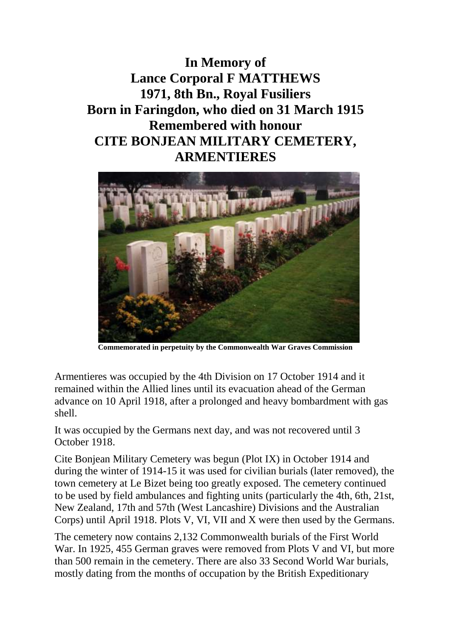**In Memory of Lance Corporal F MATTHEWS 1971, 8th Bn., Royal Fusiliers Born in Faringdon, who died on 31 March 1915 Remembered with honour CITE BONJEAN MILITARY CEMETERY, ARMENTIERES**



**Commemorated in perpetuity by the Commonwealth War Graves Commission**

Armentieres was occupied by the 4th Division on 17 October 1914 and it remained within the Allied lines until its evacuation ahead of the German advance on 10 April 1918, after a prolonged and heavy bombardment with gas shell.

It was occupied by the Germans next day, and was not recovered until 3 October 1918.

Cite Bonjean Military Cemetery was begun (Plot IX) in October 1914 and during the winter of 1914-15 it was used for civilian burials (later removed), the town cemetery at Le Bizet being too greatly exposed. The cemetery continued to be used by field ambulances and fighting units (particularly the 4th, 6th, 21st, New Zealand, 17th and 57th (West Lancashire) Divisions and the Australian Corps) until April 1918. Plots V, VI, VII and X were then used by the Germans.

The cemetery now contains 2,132 Commonwealth burials of the First World War. In 1925, 455 German graves were removed from Plots V and VI, but more than 500 remain in the cemetery. There are also 33 Second World War burials, mostly dating from the months of occupation by the British Expeditionary